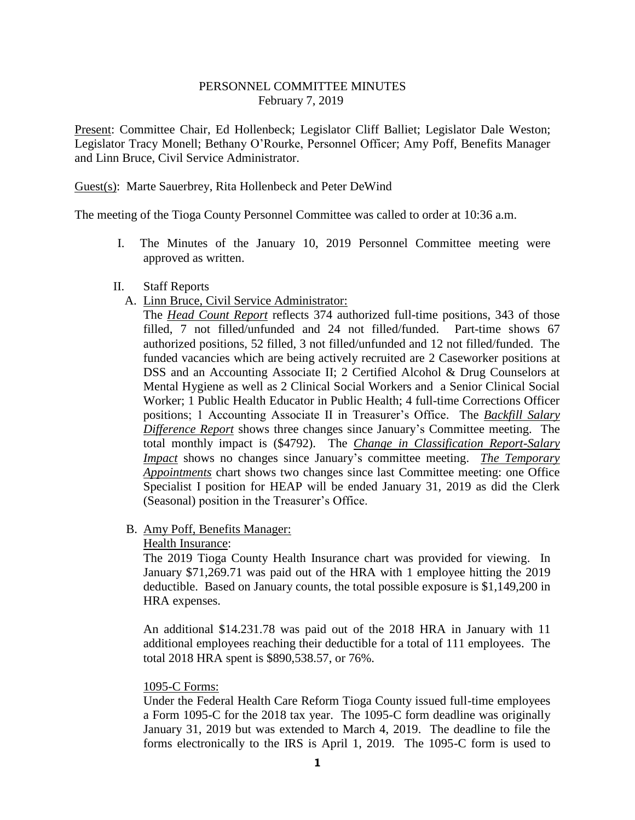### PERSONNEL COMMITTEE MINUTES February 7, 2019

Present: Committee Chair, Ed Hollenbeck; Legislator Cliff Balliet; Legislator Dale Weston; Legislator Tracy Monell; Bethany O'Rourke, Personnel Officer; Amy Poff, Benefits Manager and Linn Bruce, Civil Service Administrator.

### Guest(s): Marte Sauerbrey, Rita Hollenbeck and Peter DeWind

The meeting of the Tioga County Personnel Committee was called to order at 10:36 a.m.

I. The Minutes of the January 10, 2019 Personnel Committee meeting were approved as written.

#### II. Staff Reports

A. Linn Bruce, Civil Service Administrator:

The *Head Count Report* reflects 374 authorized full-time positions, 343 of those filled, 7 not filled/unfunded and 24 not filled/funded. Part-time shows 67 authorized positions, 52 filled, 3 not filled/unfunded and 12 not filled/funded. The funded vacancies which are being actively recruited are 2 Caseworker positions at DSS and an Accounting Associate II; 2 Certified Alcohol & Drug Counselors at Mental Hygiene as well as 2 Clinical Social Workers and a Senior Clinical Social Worker; 1 Public Health Educator in Public Health; 4 full-time Corrections Officer positions; 1 Accounting Associate II in Treasurer's Office. The *Backfill Salary Difference Report* shows three changes since January's Committee meeting. The total monthly impact is (\$4792). The *Change in Classification Report-Salary Impact* shows no changes since January's committee meeting. *The Temporary Appointments* chart shows two changes since last Committee meeting: one Office Specialist I position for HEAP will be ended January 31, 2019 as did the Clerk (Seasonal) position in the Treasurer's Office.

# B. Amy Poff, Benefits Manager:

#### Health Insurance:

The 2019 Tioga County Health Insurance chart was provided for viewing. In January \$71,269.71 was paid out of the HRA with 1 employee hitting the 2019 deductible. Based on January counts, the total possible exposure is \$1,149,200 in HRA expenses.

An additional \$14.231.78 was paid out of the 2018 HRA in January with 11 additional employees reaching their deductible for a total of 111 employees. The total 2018 HRA spent is \$890,538.57, or 76%.

#### 1095-C Forms:

Under the Federal Health Care Reform Tioga County issued full-time employees a Form 1095-C for the 2018 tax year. The 1095-C form deadline was originally January 31, 2019 but was extended to March 4, 2019. The deadline to file the forms electronically to the IRS is April 1, 2019. The 1095-C form is used to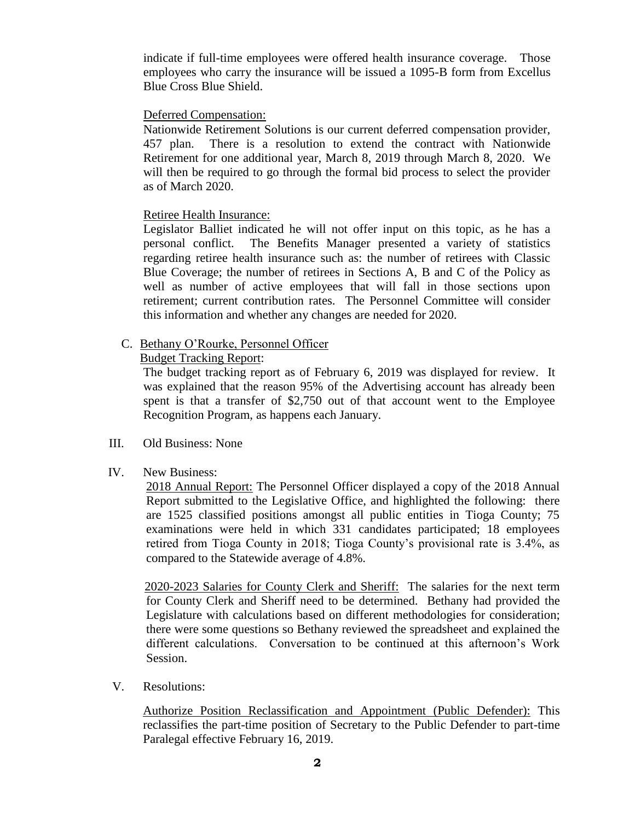indicate if full-time employees were offered health insurance coverage. Those employees who carry the insurance will be issued a 1095-B form from Excellus Blue Cross Blue Shield.

# Deferred Compensation:

Nationwide Retirement Solutions is our current deferred compensation provider, 457 plan. There is a resolution to extend the contract with Nationwide Retirement for one additional year, March 8, 2019 through March 8, 2020. We will then be required to go through the formal bid process to select the provider as of March 2020.

### Retiree Health Insurance:

Legislator Balliet indicated he will not offer input on this topic, as he has a personal conflict. The Benefits Manager presented a variety of statistics regarding retiree health insurance such as: the number of retirees with Classic Blue Coverage; the number of retirees in Sections A, B and C of the Policy as well as number of active employees that will fall in those sections upon retirement; current contribution rates. The Personnel Committee will consider this information and whether any changes are needed for 2020.

# C. Bethany O'Rourke, Personnel Officer

### Budget Tracking Report:

The budget tracking report as of February 6, 2019 was displayed for review. It was explained that the reason 95% of the Advertising account has already been spent is that a transfer of \$2,750 out of that account went to the Employee Recognition Program, as happens each January.

- III. Old Business: None
- IV. New Business:

2018 Annual Report: The Personnel Officer displayed a copy of the 2018 Annual Report submitted to the Legislative Office, and highlighted the following: there are 1525 classified positions amongst all public entities in Tioga County; 75 examinations were held in which 331 candidates participated; 18 employees retired from Tioga County in 2018; Tioga County's provisional rate is 3.4%, as compared to the Statewide average of 4.8%.

2020-2023 Salaries for County Clerk and Sheriff: The salaries for the next term for County Clerk and Sheriff need to be determined. Bethany had provided the Legislature with calculations based on different methodologies for consideration; there were some questions so Bethany reviewed the spreadsheet and explained the different calculations. Conversation to be continued at this afternoon's Work Session.

V. Resolutions:

Authorize Position Reclassification and Appointment (Public Defender): This reclassifies the part-time position of Secretary to the Public Defender to part-time Paralegal effective February 16, 2019.